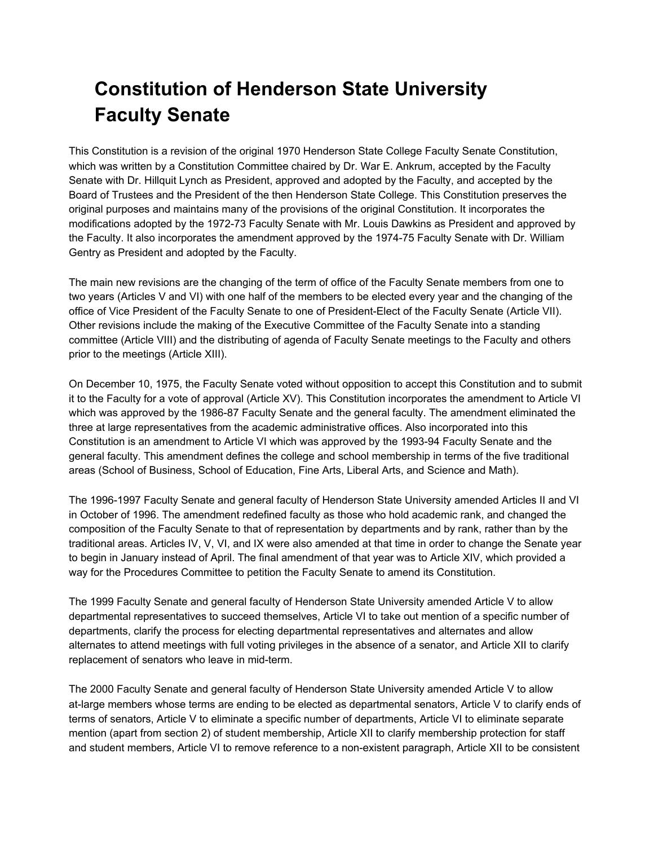## **Constitution of Henderson State University Faculty Senate**

This Constitution is a revision of the original 1970 Henderson State College Faculty Senate Constitution, which was written by a Constitution Committee chaired by Dr. War E. Ankrum, accepted by the Faculty Senate with Dr. Hillquit Lynch as President, approved and adopted by the Faculty, and accepted by the Board of Trustees and the President of the then Henderson State College. This Constitution preserves the original purposes and maintains many of the provisions of the original Constitution. It incorporates the modifications adopted by the 1972-73 Faculty Senate with Mr. Louis Dawkins as President and approved by the Faculty. It also incorporates the amendment approved by the 1974-75 Faculty Senate with Dr. William Gentry as President and adopted by the Faculty.

The main new revisions are the changing of the term of office of the Faculty Senate members from one to two years (Articles V and VI) with one half of the members to be elected every year and the changing of the office of Vice President of the Faculty Senate to one of President-Elect of the Faculty Senate (Article VII). Other revisions include the making of the Executive Committee of the Faculty Senate into a standing committee (Article VIII) and the distributing of agenda of Faculty Senate meetings to the Faculty and others prior to the meetings (Article XIII).

On December 10, 1975, the Faculty Senate voted without opposition to accept this Constitution and to submit it to the Faculty for a vote of approval (Article XV). This Constitution incorporates the amendment to Article VI which was approved by the 1986-87 Faculty Senate and the general faculty. The amendment eliminated the three at large representatives from the academic administrative offices. Also incorporated into this Constitution is an amendment to Article VI which was approved by the 1993-94 Faculty Senate and the general faculty. This amendment defines the college and school membership in terms of the five traditional areas (School of Business, School of Education, Fine Arts, Liberal Arts, and Science and Math).

The 1996-1997 Faculty Senate and general faculty of Henderson State University amended Articles II and VI in October of 1996. The amendment redefined faculty as those who hold academic rank, and changed the composition of the Faculty Senate to that of representation by departments and by rank, rather than by the traditional areas. Articles IV, V, VI, and IX were also amended at that time in order to change the Senate year to begin in January instead of April. The final amendment of that year was to Article XIV, which provided a way for the Procedures Committee to petition the Faculty Senate to amend its Constitution.

The 1999 Faculty Senate and general faculty of Henderson State University amended Article V to allow departmental representatives to succeed themselves, Article VI to take out mention of a specific number of departments, clarify the process for electing departmental representatives and alternates and allow alternates to attend meetings with full voting privileges in the absence of a senator, and Article XII to clarify replacement of senators who leave in mid-term.

The 2000 Faculty Senate and general faculty of Henderson State University amended Article V to allow at-large members whose terms are ending to be elected as departmental senators, Article V to clarify ends of terms of senators, Article V to eliminate a specific number of departments, Article VI to eliminate separate mention (apart from section 2) of student membership, Article XII to clarify membership protection for staff and student members, Article VI to remove reference to a non-existent paragraph, Article XII to be consistent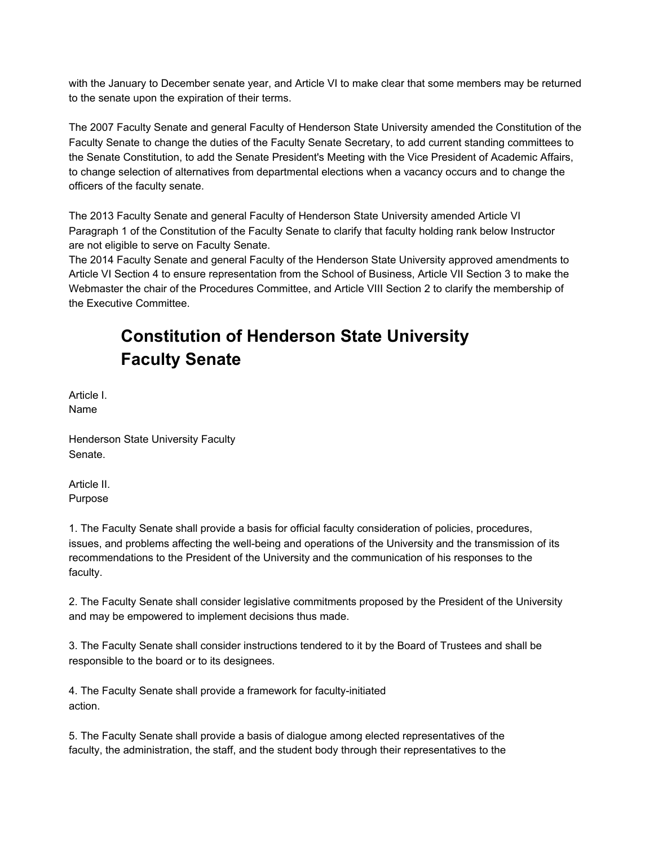with the January to December senate year, and Article VI to make clear that some members may be returned to the senate upon the expiration of their terms.

The 2007 Faculty Senate and general Faculty of Henderson State University amended the Constitution of the Faculty Senate to change the duties of the Faculty Senate Secretary, to add current standing committees to the Senate Constitution, to add the Senate President's Meeting with the Vice President of Academic Affairs, to change selection of alternatives from departmental elections when a vacancy occurs and to change the officers of the faculty senate.

The 2013 Faculty Senate and general Faculty of Henderson State University amended Article VI Paragraph 1 of the Constitution of the Faculty Senate to clarify that faculty holding rank below Instructor are not eligible to serve on Faculty Senate.

The 2014 Faculty Senate and general Faculty of the Henderson State University approved amendments to Article VI Section 4 to ensure representation from the School of Business, Article VII Section 3 to make the Webmaster the chair of the Procedures Committee, and Article VIII Section 2 to clarify the membership of the Executive Committee.

## **Constitution of Henderson State University Faculty Senate**

Article I. Name

Henderson State University Faculty Senate.

Article II. Purpose

1. The Faculty Senate shall provide a basis for official faculty consideration of policies, procedures, issues, and problems affecting the well-being and operations of the University and the transmission of its recommendations to the President of the University and the communication of his responses to the faculty.

2. The Faculty Senate shall consider legislative commitments proposed by the President of the University and may be empowered to implement decisions thus made.

3. The Faculty Senate shall consider instructions tendered to it by the Board of Trustees and shall be responsible to the board or to its designees.

4. The Faculty Senate shall provide a framework for faculty-initiated action.

5. The Faculty Senate shall provide a basis of dialogue among elected representatives of the faculty, the administration, the staff, and the student body through their representatives to the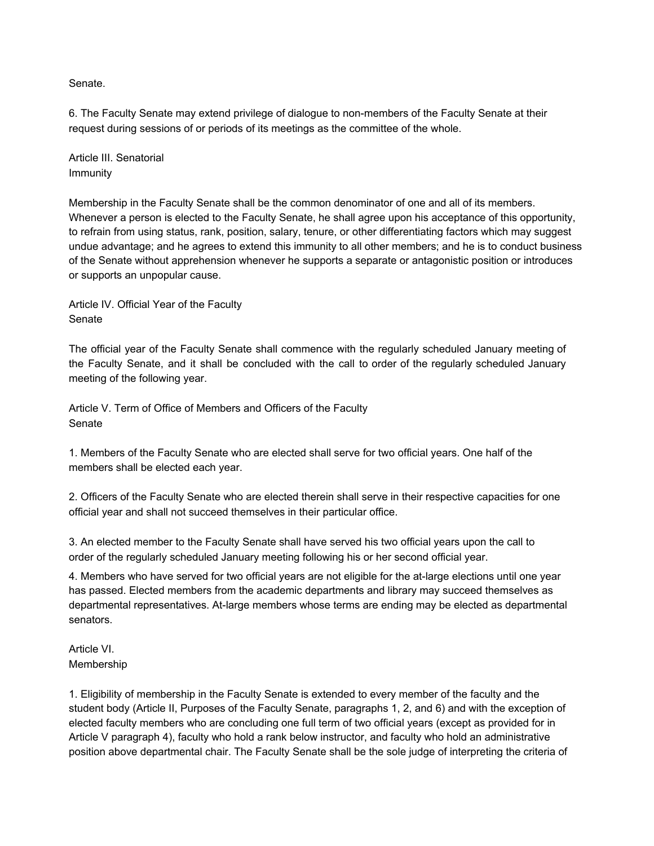Senate.

6. The Faculty Senate may extend privilege of dialogue to non-members of the Faculty Senate at their request during sessions of or periods of its meetings as the committee of the whole.

Article III. Senatorial Immunity

Membership in the Faculty Senate shall be the common denominator of one and all of its members. Whenever a person is elected to the Faculty Senate, he shall agree upon his acceptance of this opportunity, to refrain from using status, rank, position, salary, tenure, or other differentiating factors which may suggest undue advantage; and he agrees to extend this immunity to all other members; and he is to conduct business of the Senate without apprehension whenever he supports a separate or antagonistic position or introduces or supports an unpopular cause.

Article IV. Official Year of the Faculty **Senate** 

The official year of the Faculty Senate shall commence with the regularly scheduled January meeting of the Faculty Senate, and it shall be concluded with the call to order of the regularly scheduled January meeting of the following year.

Article V. Term of Office of Members and Officers of the Faculty Senate

1. Members of the Faculty Senate who are elected shall serve for two official years. One half of the members shall be elected each year.

2. Officers of the Faculty Senate who are elected therein shall serve in their respective capacities for one official year and shall not succeed themselves in their particular office.

3. An elected member to the Faculty Senate shall have served his two official years upon the call to order of the regularly scheduled January meeting following his or her second official year.

4. Members who have served for two official years are not eligible for the at-large elections until one year has passed. Elected members from the academic departments and library may succeed themselves as departmental representatives. At-large members whose terms are ending may be elected as departmental senators.

Article VI. Membership

1. Eligibility of membership in the Faculty Senate is extended to every member of the faculty and the student body (Article II, Purposes of the Faculty Senate, paragraphs 1, 2, and 6) and with the exception of elected faculty members who are concluding one full term of two official years (except as provided for in Article V paragraph 4), faculty who hold a rank below instructor, and faculty who hold an administrative position above departmental chair. The Faculty Senate shall be the sole judge of interpreting the criteria of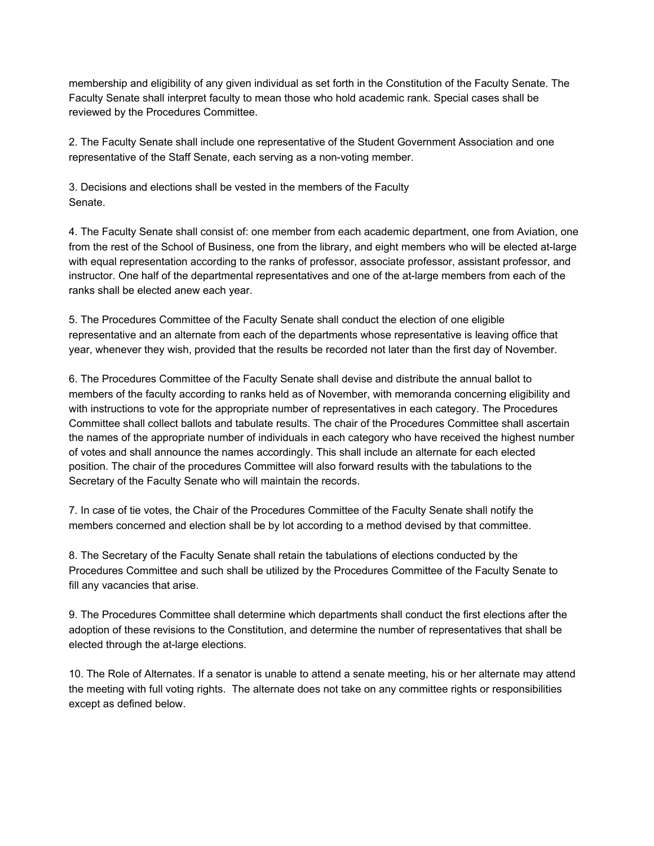membership and eligibility of any given individual as set forth in the Constitution of the Faculty Senate. The Faculty Senate shall interpret faculty to mean those who hold academic rank. Special cases shall be reviewed by the Procedures Committee.

2. The Faculty Senate shall include one representative of the Student Government Association and one representative of the Staff Senate, each serving as a non-voting member.

3. Decisions and elections shall be vested in the members of the Faculty Senate.

4. The Faculty Senate shall consist of: one member from each academic department, one from Aviation, one from the rest of the School of Business, one from the library, and eight members who will be elected at-large with equal representation according to the ranks of professor, associate professor, assistant professor, and instructor. One half of the departmental representatives and one of the at-large members from each of the ranks shall be elected anew each year.

5. The Procedures Committee of the Faculty Senate shall conduct the election of one eligible representative and an alternate from each of the departments whose representative is leaving office that year, whenever they wish, provided that the results be recorded not later than the first day of November.

6. The Procedures Committee of the Faculty Senate shall devise and distribute the annual ballot to members of the faculty according to ranks held as of November, with memoranda concerning eligibility and with instructions to vote for the appropriate number of representatives in each category. The Procedures Committee shall collect ballots and tabulate results. The chair of the Procedures Committee shall ascertain the names of the appropriate number of individuals in each category who have received the highest number of votes and shall announce the names accordingly. This shall include an alternate for each elected position. The chair of the procedures Committee will also forward results with the tabulations to the Secretary of the Faculty Senate who will maintain the records.

7. In case of tie votes, the Chair of the Procedures Committee of the Faculty Senate shall notify the members concerned and election shall be by lot according to a method devised by that committee.

8. The Secretary of the Faculty Senate shall retain the tabulations of elections conducted by the Procedures Committee and such shall be utilized by the Procedures Committee of the Faculty Senate to fill any vacancies that arise.

9. The Procedures Committee shall determine which departments shall conduct the first elections after the adoption of these revisions to the Constitution, and determine the number of representatives that shall be elected through the at-large elections.

10. The Role of Alternates. If a senator is unable to attend a senate meeting, his or her alternate may attend the meeting with full voting rights. The alternate does not take on any committee rights or responsibilities except as defined below.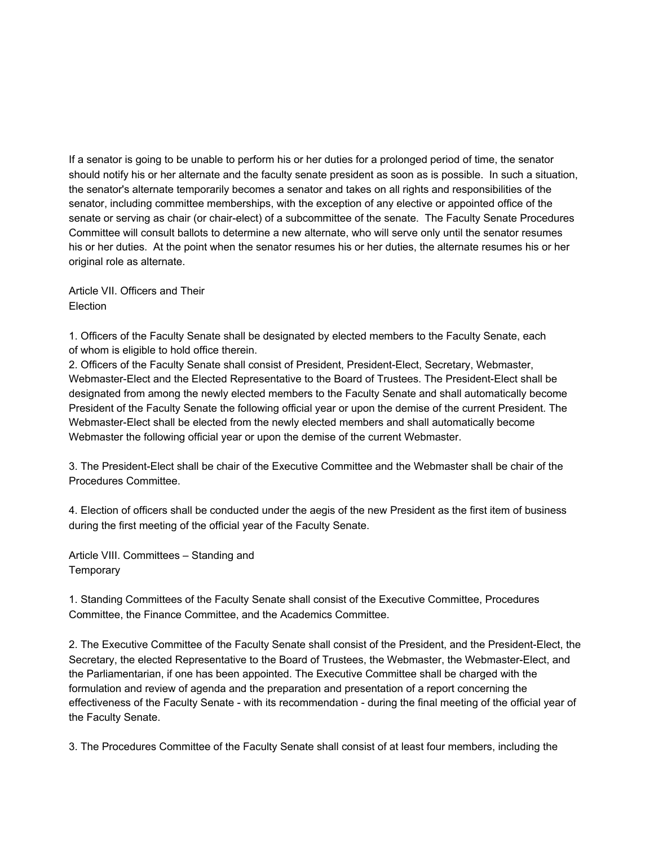If a senator is going to be unable to perform his or her duties for a prolonged period of time, the senator should notify his or her alternate and the faculty senate president as soon as is possible. In such a situation, the senator's alternate temporarily becomes a senator and takes on all rights and responsibilities of the senator, including committee memberships, with the exception of any elective or appointed office of the senate or serving as chair (or chair-elect) of a subcommittee of the senate. The Faculty Senate Procedures Committee will consult ballots to determine a new alternate, who will serve only until the senator resumes his or her duties. At the point when the senator resumes his or her duties, the alternate resumes his or her original role as alternate.

Article VII. Officers and Their Election

1. Officers of the Faculty Senate shall be designated by elected members to the Faculty Senate, each of whom is eligible to hold office therein.

2. Officers of the Faculty Senate shall consist of President, President-Elect, Secretary, Webmaster, Webmaster-Elect and the Elected Representative to the Board of Trustees. The President-Elect shall be designated from among the newly elected members to the Faculty Senate and shall automatically become President of the Faculty Senate the following official year or upon the demise of the current President. The Webmaster-Elect shall be elected from the newly elected members and shall automatically become Webmaster the following official year or upon the demise of the current Webmaster.

3. The President-Elect shall be chair of the Executive Committee and the Webmaster shall be chair of the Procedures Committee.

4. Election of officers shall be conducted under the aegis of the new President as the first item of business during the first meeting of the official year of the Faculty Senate.

Article VIII. Committees – Standing and **Temporary** 

1. Standing Committees of the Faculty Senate shall consist of the Executive Committee, Procedures Committee, the Finance Committee, and the Academics Committee.

2. The Executive Committee of the Faculty Senate shall consist of the President, and the President-Elect, the Secretary, the elected Representative to the Board of Trustees, the Webmaster, the Webmaster-Elect, and the Parliamentarian, if one has been appointed. The Executive Committee shall be charged with the formulation and review of agenda and the preparation and presentation of a report concerning the effectiveness of the Faculty Senate - with its recommendation - during the final meeting of the official year of the Faculty Senate.

3. The Procedures Committee of the Faculty Senate shall consist of at least four members, including the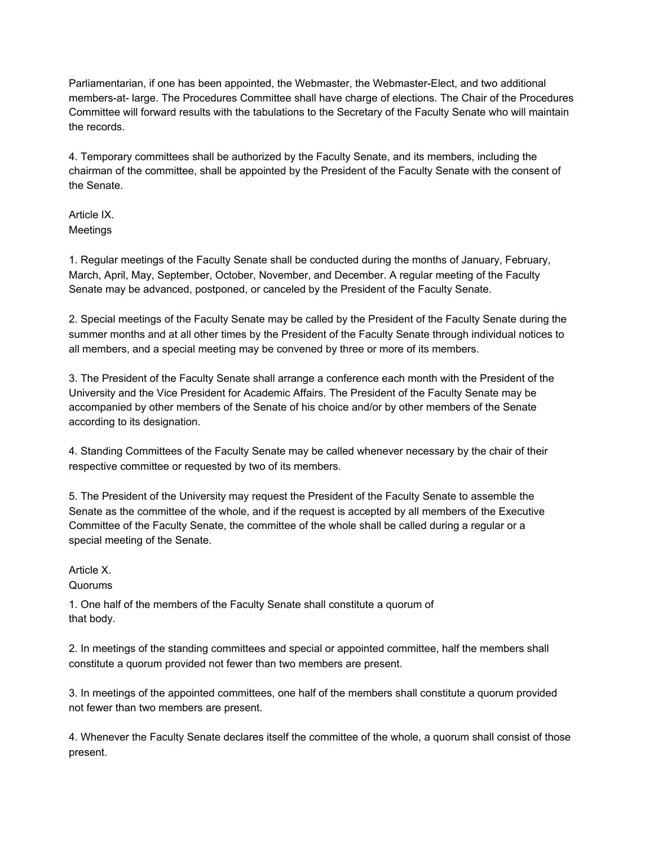Parliamentarian, if one has been appointed, the Webmaster, the Webmaster-Elect, and two additional members-at- large. The Procedures Committee shall have charge of elections. The Chair of the Procedures Committee will forward results with the tabulations to the Secretary of the Faculty Senate who will maintain the records.

4. Temporary committees shall be authorized by the Faculty Senate, and its members, including the chairman of the committee, shall be appointed by the President of the Faculty Senate with the consent of the Senate.

Article IX. **Meetings** 

1. Regular meetings of the Faculty Senate shall be conducted during the months of January, February, March, April, May, September, October, November, and December. A regular meeting of the Faculty Senate may be advanced, postponed, or canceled by the President of the Faculty Senate.

2. Special meetings of the Faculty Senate may be called by the President of the Faculty Senate during the summer months and at all other times by the President of the Faculty Senate through individual notices to all members, and a special meeting may be convened by three or more of its members.

3. The President of the Faculty Senate shall arrange a conference each month with the President of the University and the Vice President for Academic Affairs. The President of the Faculty Senate may be accompanied by other members of the Senate of his choice and/or by other members of the Senate according to its designation.

4. Standing Committees of the Faculty Senate may be called whenever necessary by the chair of their respective committee or requested by two of its members.

5. The President of the University may request the President of the Faculty Senate to assemble the Senate as the committee of the whole, and if the request is accepted by all members of the Executive Committee of the Faculty Senate, the committee of the whole shall be called during a regular or a special meeting of the Senate.

Article X. Quorums

1. One half of the members of the Faculty Senate shall constitute a quorum of that body.

2. In meetings of the standing committees and special or appointed committee, half the members shall constitute a quorum provided not fewer than two members are present.

3. In meetings of the appointed committees, one half of the members shall constitute a quorum provided not fewer than two members are present.

4. Whenever the Faculty Senate declares itself the committee of the whole, a quorum shall consist of those present.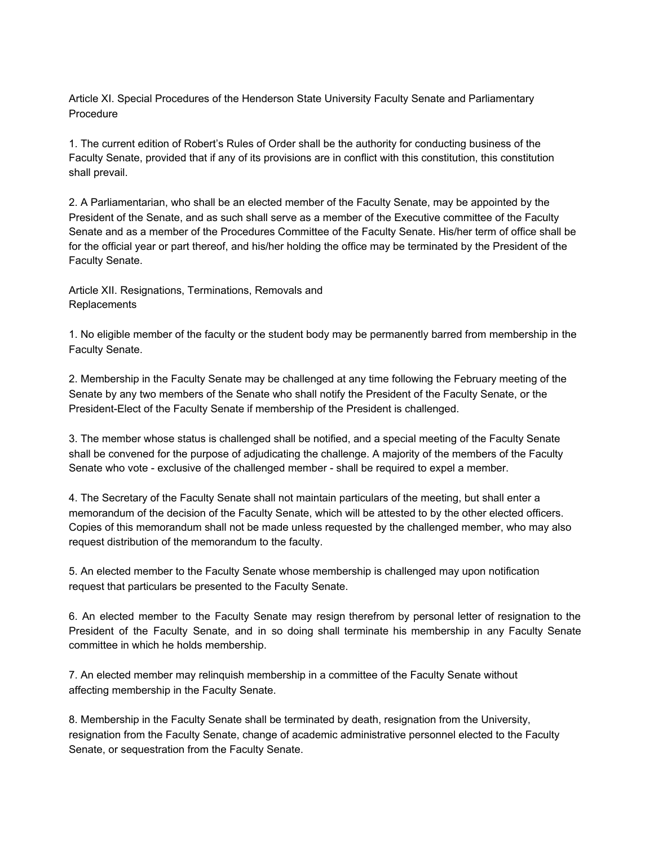Article XI. Special Procedures of the Henderson State University Faculty Senate and Parliamentary Procedure

1. The current edition of Robert's Rules of Order shall be the authority for conducting business of the Faculty Senate, provided that if any of its provisions are in conflict with this constitution, this constitution shall prevail.

2. A Parliamentarian, who shall be an elected member of the Faculty Senate, may be appointed by the President of the Senate, and as such shall serve as a member of the Executive committee of the Faculty Senate and as a member of the Procedures Committee of the Faculty Senate. His/her term of office shall be for the official year or part thereof, and his/her holding the office may be terminated by the President of the Faculty Senate.

Article XII. Resignations, Terminations, Removals and **Replacements** 

1. No eligible member of the faculty or the student body may be permanently barred from membership in the Faculty Senate.

2. Membership in the Faculty Senate may be challenged at any time following the February meeting of the Senate by any two members of the Senate who shall notify the President of the Faculty Senate, or the President-Elect of the Faculty Senate if membership of the President is challenged.

3. The member whose status is challenged shall be notified, and a special meeting of the Faculty Senate shall be convened for the purpose of adjudicating the challenge. A majority of the members of the Faculty Senate who vote - exclusive of the challenged member - shall be required to expel a member.

4. The Secretary of the Faculty Senate shall not maintain particulars of the meeting, but shall enter a memorandum of the decision of the Faculty Senate, which will be attested to by the other elected officers. Copies of this memorandum shall not be made unless requested by the challenged member, who may also request distribution of the memorandum to the faculty.

5. An elected member to the Faculty Senate whose membership is challenged may upon notification request that particulars be presented to the Faculty Senate.

6. An elected member to the Faculty Senate may resign therefrom by personal letter of resignation to the President of the Faculty Senate, and in so doing shall terminate his membership in any Faculty Senate committee in which he holds membership.

7. An elected member may relinquish membership in a committee of the Faculty Senate without affecting membership in the Faculty Senate.

8. Membership in the Faculty Senate shall be terminated by death, resignation from the University, resignation from the Faculty Senate, change of academic administrative personnel elected to the Faculty Senate, or sequestration from the Faculty Senate.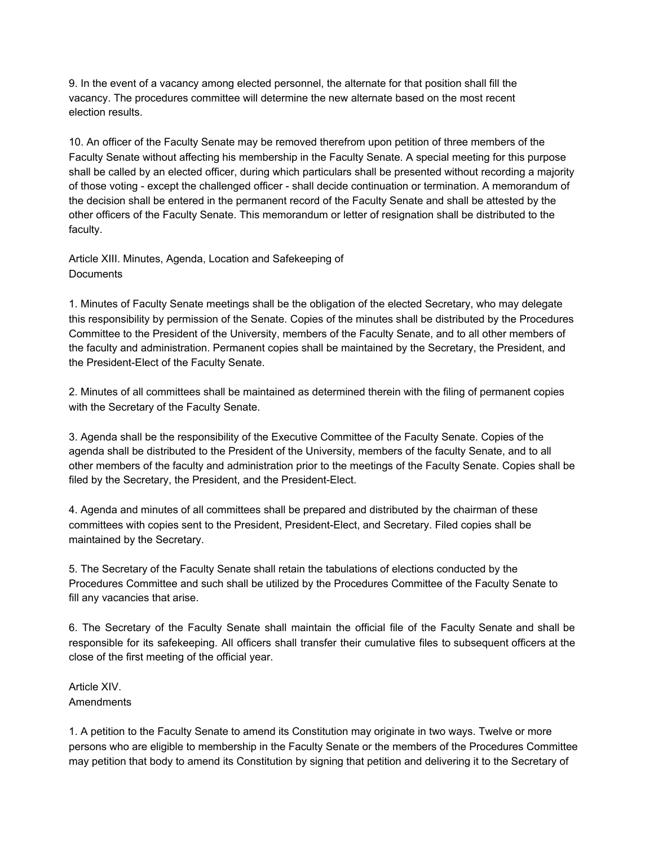9. In the event of a vacancy among elected personnel, the alternate for that position shall fill the vacancy. The procedures committee will determine the new alternate based on the most recent election results.

10. An officer of the Faculty Senate may be removed therefrom upon petition of three members of the Faculty Senate without affecting his membership in the Faculty Senate. A special meeting for this purpose shall be called by an elected officer, during which particulars shall be presented without recording a majority of those voting - except the challenged officer - shall decide continuation or termination. A memorandum of the decision shall be entered in the permanent record of the Faculty Senate and shall be attested by the other officers of the Faculty Senate. This memorandum or letter of resignation shall be distributed to the faculty.

Article XIII. Minutes, Agenda, Location and Safekeeping of **Documents** 

1. Minutes of Faculty Senate meetings shall be the obligation of the elected Secretary, who may delegate this responsibility by permission of the Senate. Copies of the minutes shall be distributed by the Procedures Committee to the President of the University, members of the Faculty Senate, and to all other members of the faculty and administration. Permanent copies shall be maintained by the Secretary, the President, and the President-Elect of the Faculty Senate.

2. Minutes of all committees shall be maintained as determined therein with the filing of permanent copies with the Secretary of the Faculty Senate.

3. Agenda shall be the responsibility of the Executive Committee of the Faculty Senate. Copies of the agenda shall be distributed to the President of the University, members of the faculty Senate, and to all other members of the faculty and administration prior to the meetings of the Faculty Senate. Copies shall be filed by the Secretary, the President, and the President-Elect.

4. Agenda and minutes of all committees shall be prepared and distributed by the chairman of these committees with copies sent to the President, President-Elect, and Secretary. Filed copies shall be maintained by the Secretary.

5. The Secretary of the Faculty Senate shall retain the tabulations of elections conducted by the Procedures Committee and such shall be utilized by the Procedures Committee of the Faculty Senate to fill any vacancies that arise.

6. The Secretary of the Faculty Senate shall maintain the official file of the Faculty Senate and shall be responsible for its safekeeping. All officers shall transfer their cumulative files to subsequent officers at the close of the first meeting of the official year.

Article XIV. Amendments

1. A petition to the Faculty Senate to amend its Constitution may originate in two ways. Twelve or more persons who are eligible to membership in the Faculty Senate or the members of the Procedures Committee may petition that body to amend its Constitution by signing that petition and delivering it to the Secretary of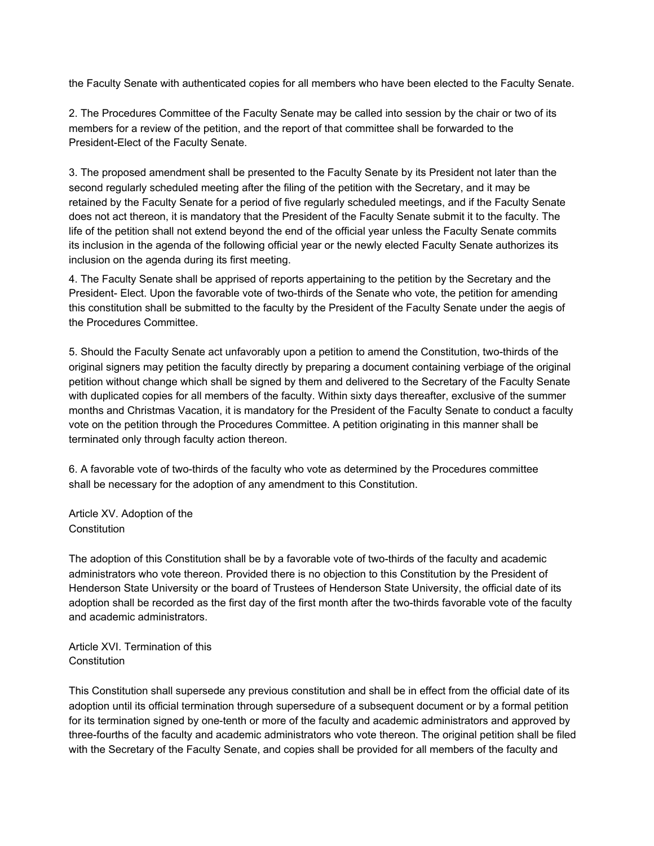the Faculty Senate with authenticated copies for all members who have been elected to the Faculty Senate.

2. The Procedures Committee of the Faculty Senate may be called into session by the chair or two of its members for a review of the petition, and the report of that committee shall be forwarded to the President-Elect of the Faculty Senate.

3. The proposed amendment shall be presented to the Faculty Senate by its President not later than the second regularly scheduled meeting after the filing of the petition with the Secretary, and it may be retained by the Faculty Senate for a period of five regularly scheduled meetings, and if the Faculty Senate does not act thereon, it is mandatory that the President of the Faculty Senate submit it to the faculty. The life of the petition shall not extend beyond the end of the official year unless the Faculty Senate commits its inclusion in the agenda of the following official year or the newly elected Faculty Senate authorizes its inclusion on the agenda during its first meeting.

4. The Faculty Senate shall be apprised of reports appertaining to the petition by the Secretary and the President- Elect. Upon the favorable vote of two-thirds of the Senate who vote, the petition for amending this constitution shall be submitted to the faculty by the President of the Faculty Senate under the aegis of the Procedures Committee.

5. Should the Faculty Senate act unfavorably upon a petition to amend the Constitution, two-thirds of the original signers may petition the faculty directly by preparing a document containing verbiage of the original petition without change which shall be signed by them and delivered to the Secretary of the Faculty Senate with duplicated copies for all members of the faculty. Within sixty days thereafter, exclusive of the summer months and Christmas Vacation, it is mandatory for the President of the Faculty Senate to conduct a faculty vote on the petition through the Procedures Committee. A petition originating in this manner shall be terminated only through faculty action thereon.

6. A favorable vote of two-thirds of the faculty who vote as determined by the Procedures committee shall be necessary for the adoption of any amendment to this Constitution.

Article XV. Adoption of the **Constitution** 

The adoption of this Constitution shall be by a favorable vote of two-thirds of the faculty and academic administrators who vote thereon. Provided there is no objection to this Constitution by the President of Henderson State University or the board of Trustees of Henderson State University, the official date of its adoption shall be recorded as the first day of the first month after the two-thirds favorable vote of the faculty and academic administrators.

Article XVI. Termination of this **Constitution** 

This Constitution shall supersede any previous constitution and shall be in effect from the official date of its adoption until its official termination through supersedure of a subsequent document or by a formal petition for its termination signed by one-tenth or more of the faculty and academic administrators and approved by three-fourths of the faculty and academic administrators who vote thereon. The original petition shall be filed with the Secretary of the Faculty Senate, and copies shall be provided for all members of the faculty and